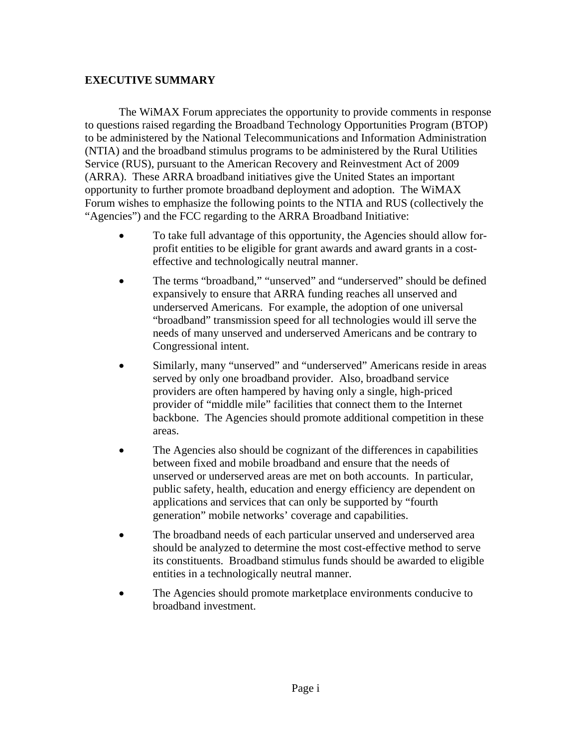## **EXECUTIVE SUMMARY**

The WiMAX Forum appreciates the opportunity to provide comments in response to questions raised regarding the Broadband Technology Opportunities Program (BTOP) to be administered by the National Telecommunications and Information Administration (NTIA) and the broadband stimulus programs to be administered by the Rural Utilities Service (RUS), pursuant to the American Recovery and Reinvestment Act of 2009 (ARRA). These ARRA broadband initiatives give the United States an important opportunity to further promote broadband deployment and adoption. The WiMAX Forum wishes to emphasize the following points to the NTIA and RUS (collectively the "Agencies") and the FCC regarding to the ARRA Broadband Initiative:

- To take full advantage of this opportunity, the Agencies should allow forprofit entities to be eligible for grant awards and award grants in a costeffective and technologically neutral manner.
- The terms "broadband," "unserved" and "underserved" should be defined expansively to ensure that ARRA funding reaches all unserved and underserved Americans. For example, the adoption of one universal "broadband" transmission speed for all technologies would ill serve the needs of many unserved and underserved Americans and be contrary to Congressional intent.
- Similarly, many "unserved" and "underserved" Americans reside in areas served by only one broadband provider. Also, broadband service providers are often hampered by having only a single, high-priced provider of "middle mile" facilities that connect them to the Internet backbone. The Agencies should promote additional competition in these areas.
- The Agencies also should be cognizant of the differences in capabilities between fixed and mobile broadband and ensure that the needs of unserved or underserved areas are met on both accounts. In particular, public safety, health, education and energy efficiency are dependent on applications and services that can only be supported by "fourth generation" mobile networks' coverage and capabilities.
- The broadband needs of each particular unserved and underserved area should be analyzed to determine the most cost-effective method to serve its constituents. Broadband stimulus funds should be awarded to eligible entities in a technologically neutral manner.
- The Agencies should promote marketplace environments conducive to broadband investment.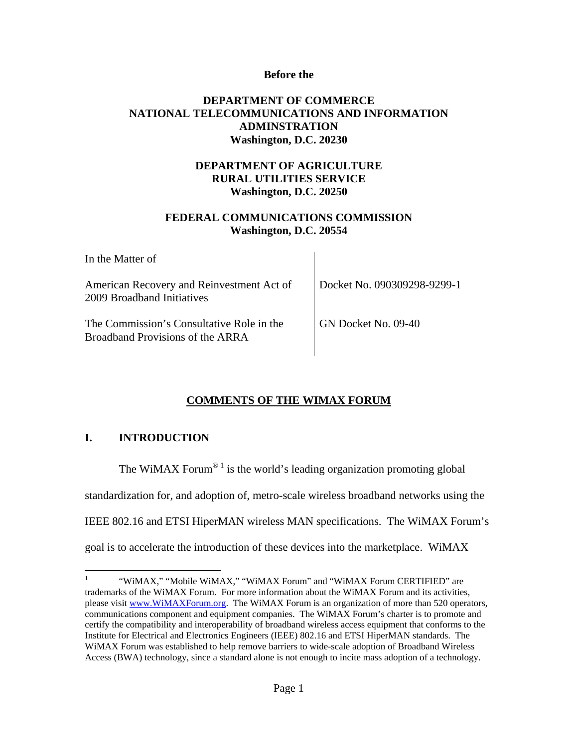#### **Before the**

### **DEPARTMENT OF COMMERCE NATIONAL TELECOMMUNICATIONS AND INFORMATION ADMINSTRATION Washington, D.C. 20230**

# **DEPARTMENT OF AGRICULTURE RURAL UTILITIES SERVICE Washington, D.C. 20250**

## **FEDERAL COMMUNICATIONS COMMISSION Washington, D.C. 20554**

| In the Matter of                                                              |                             |
|-------------------------------------------------------------------------------|-----------------------------|
| American Recovery and Reinvestment Act of<br>2009 Broadband Initiatives       | Docket No. 090309298-9299-1 |
| The Commission's Consultative Role in the<br>Broadband Provisions of the ARRA | GN Docket No. 09-40         |

# **COMMENTS OF THE WIMAX FORUM**

# **I. INTRODUCTION**

The WiMAX Forum<sup>® 1</sup> is the world's leading organization promoting global

standardization for, and adoption of, metro-scale wireless broadband networks using the

IEEE 802.16 and ETSI HiperMAN wireless MAN specifications. The WiMAX Forum's

goal is to accelerate the introduction of these devices into the marketplace. WiMAX

 $\frac{1}{1}$  "WiMAX," "Mobile WiMAX," "WiMAX Forum" and "WiMAX Forum CERTIFIED" are trademarks of the WiMAX Forum. For more information about the WiMAX Forum and its activities, please visit www.WiMAXForum.org. The WiMAX Forum is an organization of more than 520 operators, communications component and equipment companies. The WiMAX Forum's charter is to promote and certify the compatibility and interoperability of broadband wireless access equipment that conforms to the Institute for Electrical and Electronics Engineers (IEEE) 802.16 and ETSI HiperMAN standards. The WiMAX Forum was established to help remove barriers to wide-scale adoption of Broadband Wireless Access (BWA) technology, since a standard alone is not enough to incite mass adoption of a technology.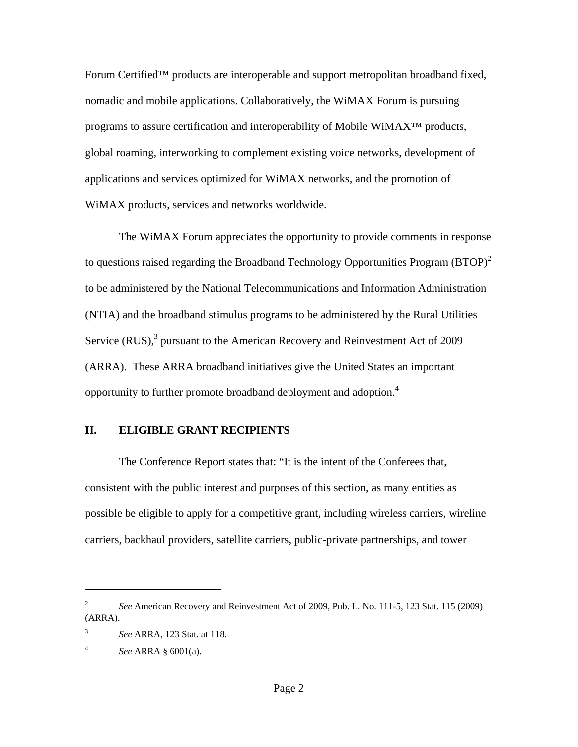Forum Certified™ products are interoperable and support metropolitan broadband fixed, nomadic and mobile applications. Collaboratively, the WiMAX Forum is pursuing programs to assure certification and interoperability of Mobile WiMAX<sup>™</sup> products, global roaming, interworking to complement existing voice networks, development of applications and services optimized for WiMAX networks, and the promotion of WiMAX products, services and networks worldwide.

The WiMAX Forum appreciates the opportunity to provide comments in response to questions raised regarding the Broadband Technology Opportunities Program  $(BTOP)^2$ to be administered by the National Telecommunications and Information Administration (NTIA) and the broadband stimulus programs to be administered by the Rural Utilities Service (RUS), $3$  pursuant to the American Recovery and Reinvestment Act of 2009 (ARRA). These ARRA broadband initiatives give the United States an important opportunity to further promote broadband deployment and adoption.<sup>4</sup>

#### **II. ELIGIBLE GRANT RECIPIENTS**

The Conference Report states that: "It is the intent of the Conferees that, consistent with the public interest and purposes of this section, as many entities as possible be eligible to apply for a competitive grant, including wireless carriers, wireline carriers, backhaul providers, satellite carriers, public-private partnerships, and tower

 $\overline{a}$ 

<sup>2</sup> *See* American Recovery and Reinvestment Act of 2009, Pub. L. No. 111-5, 123 Stat. 115 (2009) (ARRA).

<sup>3</sup> *See* ARRA, 123 Stat. at 118.

<sup>4</sup> *See* ARRA § 6001(a).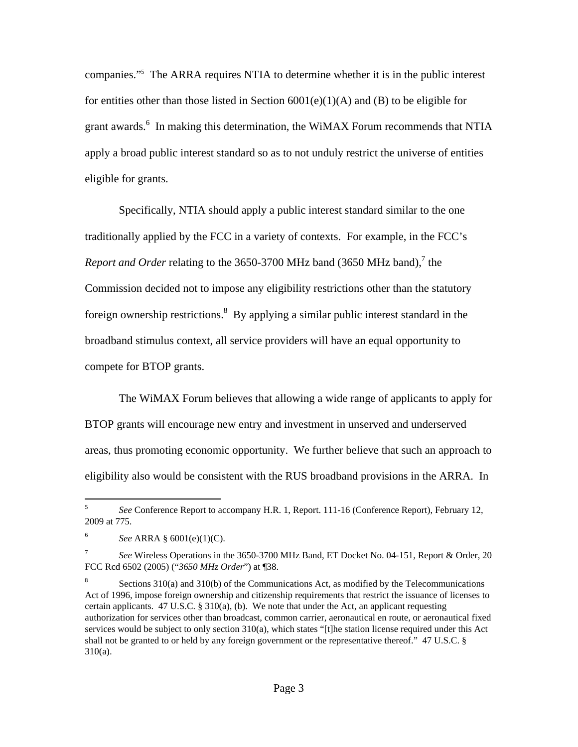companies."5 The ARRA requires NTIA to determine whether it is in the public interest for entities other than those listed in Section  $6001(e)(1)(A)$  and (B) to be eligible for grant awards.<sup>6</sup> In making this determination, the WiMAX Forum recommends that NTIA apply a broad public interest standard so as to not unduly restrict the universe of entities eligible for grants.

Specifically, NTIA should apply a public interest standard similar to the one traditionally applied by the FCC in a variety of contexts. For example, in the FCC's *Report and Order* relating to the 3650-3700 MHz band (3650 MHz band),<sup>7</sup> the Commission decided not to impose any eligibility restrictions other than the statutory foreign ownership restrictions.  $8$  By applying a similar public interest standard in the broadband stimulus context, all service providers will have an equal opportunity to compete for BTOP grants.

The WiMAX Forum believes that allowing a wide range of applicants to apply for BTOP grants will encourage new entry and investment in unserved and underserved areas, thus promoting economic opportunity. We further believe that such an approach to eligibility also would be consistent with the RUS broadband provisions in the ARRA. In

 $\overline{a}$ 

<sup>5</sup> *See* Conference Report to accompany H.R. 1, Report. 111-16 (Conference Report), February 12, 2009 at 775.

<sup>6</sup> *See* ARRA § 6001(e)(1)(C).

<sup>7</sup> *See* Wireless Operations in the 3650-3700 MHz Band, ET Docket No. 04-151, Report & Order, 20 FCC Rcd 6502 (2005) ("*3650 MHz Order*") at ¶38.

<sup>8</sup> Sections 310(a) and 310(b) of the Communications Act, as modified by the Telecommunications Act of 1996, impose foreign ownership and citizenship requirements that restrict the issuance of licenses to certain applicants. 47 U.S.C. § 310(a), (b). We note that under the Act, an applicant requesting authorization for services other than broadcast, common carrier, aeronautical en route, or aeronautical fixed services would be subject to only section 310(a), which states "[t]he station license required under this Act shall not be granted to or held by any foreign government or the representative thereof." 47 U.S.C. § 310(a).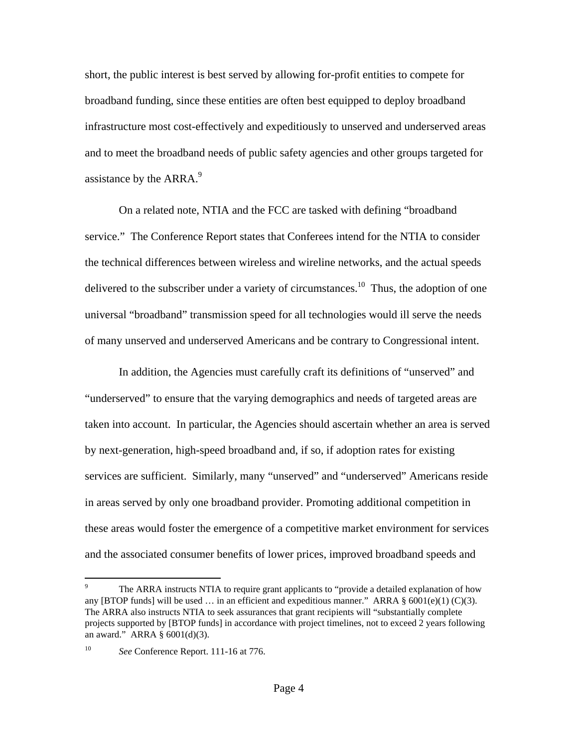short, the public interest is best served by allowing for-profit entities to compete for broadband funding, since these entities are often best equipped to deploy broadband infrastructure most cost-effectively and expeditiously to unserved and underserved areas and to meet the broadband needs of public safety agencies and other groups targeted for assistance by the ARRA.<sup>9</sup>

On a related note, NTIA and the FCC are tasked with defining "broadband service." The Conference Report states that Conferees intend for the NTIA to consider the technical differences between wireless and wireline networks, and the actual speeds delivered to the subscriber under a variety of circumstances.<sup>10</sup> Thus, the adoption of one universal "broadband" transmission speed for all technologies would ill serve the needs of many unserved and underserved Americans and be contrary to Congressional intent.

In addition, the Agencies must carefully craft its definitions of "unserved" and "underserved" to ensure that the varying demographics and needs of targeted areas are taken into account. In particular, the Agencies should ascertain whether an area is served by next-generation, high-speed broadband and, if so, if adoption rates for existing services are sufficient. Similarly, many "unserved" and "underserved" Americans reside in areas served by only one broadband provider. Promoting additional competition in these areas would foster the emergence of a competitive market environment for services and the associated consumer benefits of lower prices, improved broadband speeds and

<sup>-&</sup>lt;br>9 The ARRA instructs NTIA to require grant applicants to "provide a detailed explanation of how any [BTOP funds] will be used ... in an efficient and expeditious manner." ARRA  $\S$  6001(e)(1) (C)(3). The ARRA also instructs NTIA to seek assurances that grant recipients will "substantially complete projects supported by [BTOP funds] in accordance with project timelines, not to exceed 2 years following an award." ARRA § 6001(d)(3).

<sup>10</sup> *See* Conference Report. 111-16 at 776.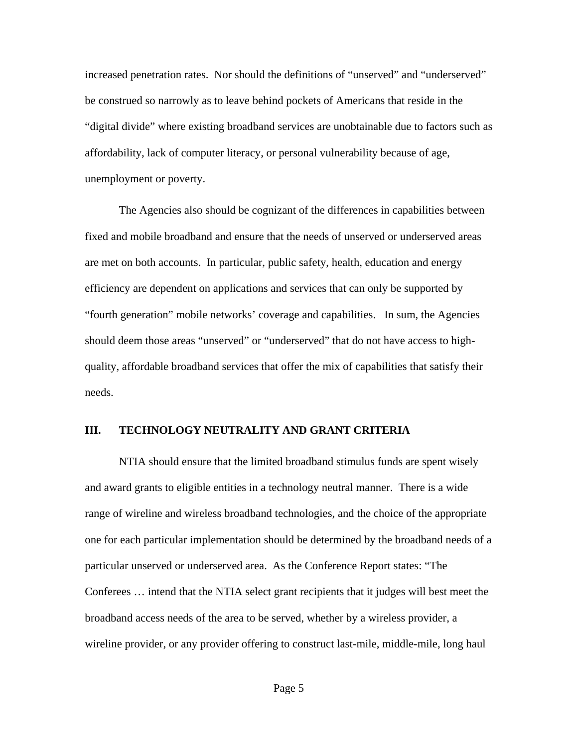increased penetration rates. Nor should the definitions of "unserved" and "underserved" be construed so narrowly as to leave behind pockets of Americans that reside in the "digital divide" where existing broadband services are unobtainable due to factors such as affordability, lack of computer literacy, or personal vulnerability because of age, unemployment or poverty.

The Agencies also should be cognizant of the differences in capabilities between fixed and mobile broadband and ensure that the needs of unserved or underserved areas are met on both accounts. In particular, public safety, health, education and energy efficiency are dependent on applications and services that can only be supported by "fourth generation" mobile networks' coverage and capabilities. In sum, the Agencies should deem those areas "unserved" or "underserved" that do not have access to highquality, affordable broadband services that offer the mix of capabilities that satisfy their needs.

#### **III. TECHNOLOGY NEUTRALITY AND GRANT CRITERIA**

NTIA should ensure that the limited broadband stimulus funds are spent wisely and award grants to eligible entities in a technology neutral manner. There is a wide range of wireline and wireless broadband technologies, and the choice of the appropriate one for each particular implementation should be determined by the broadband needs of a particular unserved or underserved area. As the Conference Report states: "The Conferees … intend that the NTIA select grant recipients that it judges will best meet the broadband access needs of the area to be served, whether by a wireless provider, a wireline provider, or any provider offering to construct last-mile, middle-mile, long haul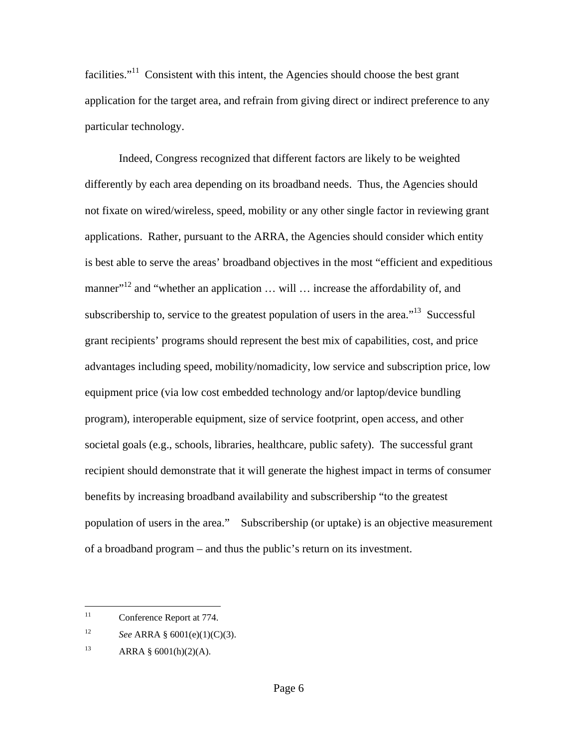facilities. $11$  Consistent with this intent, the Agencies should choose the best grant application for the target area, and refrain from giving direct or indirect preference to any particular technology.

Indeed, Congress recognized that different factors are likely to be weighted differently by each area depending on its broadband needs. Thus, the Agencies should not fixate on wired/wireless, speed, mobility or any other single factor in reviewing grant applications. Rather, pursuant to the ARRA, the Agencies should consider which entity is best able to serve the areas' broadband objectives in the most "efficient and expeditious manner"<sup>12</sup> and "whether an application ... will ... increase the affordability of, and subscribership to, service to the greatest population of users in the area.<sup> $13$ </sup> Successful grant recipients' programs should represent the best mix of capabilities, cost, and price advantages including speed, mobility/nomadicity, low service and subscription price, low equipment price (via low cost embedded technology and/or laptop/device bundling program), interoperable equipment, size of service footprint, open access, and other societal goals (e.g., schools, libraries, healthcare, public safety). The successful grant recipient should demonstrate that it will generate the highest impact in terms of consumer benefits by increasing broadband availability and subscribership "to the greatest population of users in the area." Subscribership (or uptake) is an objective measurement of a broadband program – and thus the public's return on its investment.

1

<sup>&</sup>lt;sup>11</sup> Conference Report at 774.

<sup>12</sup> *See* ARRA § 6001(e)(1)(C)(3).

<sup>13</sup> ARRA §  $6001(h)(2)(A)$ .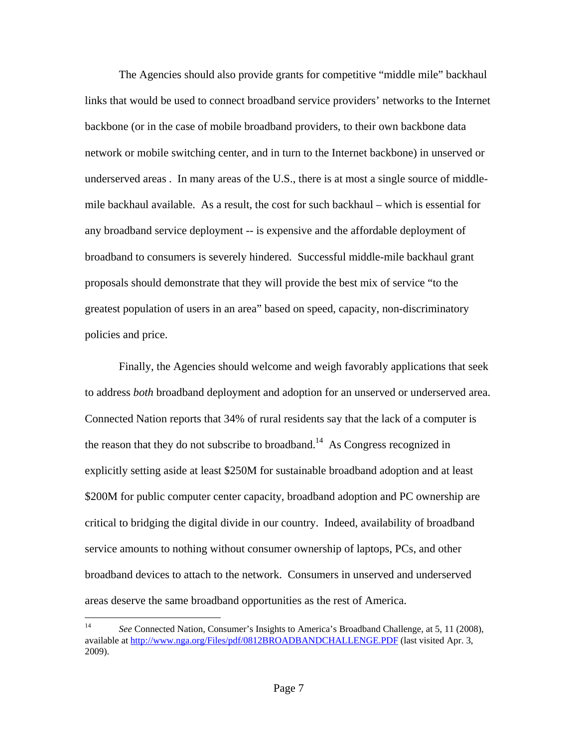The Agencies should also provide grants for competitive "middle mile" backhaul links that would be used to connect broadband service providers' networks to the Internet backbone (or in the case of mobile broadband providers, to their own backbone data network or mobile switching center, and in turn to the Internet backbone) in unserved or underserved areas . In many areas of the U.S., there is at most a single source of middlemile backhaul available. As a result, the cost for such backhaul – which is essential for any broadband service deployment -- is expensive and the affordable deployment of broadband to consumers is severely hindered. Successful middle-mile backhaul grant proposals should demonstrate that they will provide the best mix of service "to the greatest population of users in an area" based on speed, capacity, non-discriminatory policies and price.

Finally, the Agencies should welcome and weigh favorably applications that seek to address *both* broadband deployment and adoption for an unserved or underserved area. Connected Nation reports that 34% of rural residents say that the lack of a computer is the reason that they do not subscribe to broadband.<sup>14</sup> As Congress recognized in explicitly setting aside at least \$250M for sustainable broadband adoption and at least \$200M for public computer center capacity, broadband adoption and PC ownership are critical to bridging the digital divide in our country. Indeed, availability of broadband service amounts to nothing without consumer ownership of laptops, PCs, and other broadband devices to attach to the network. Consumers in unserved and underserved areas deserve the same broadband opportunities as the rest of America.

1

<sup>&</sup>lt;sup>14</sup> *See* Connected Nation, Consumer's Insights to America's Broadband Challenge, at 5, 11 (2008), available at http://www.nga.org/Files/pdf/0812BROADBANDCHALLENGE.PDF (last visited Apr. 3, 2009).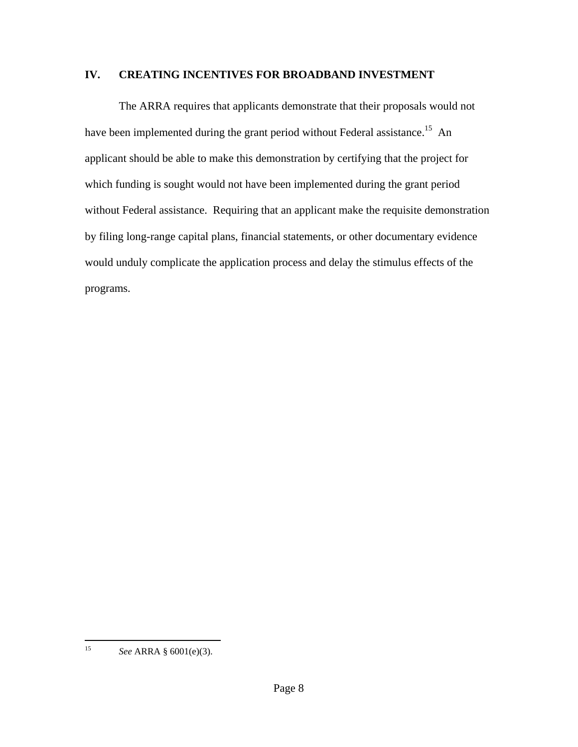# **IV. CREATING INCENTIVES FOR BROADBAND INVESTMENT**

The ARRA requires that applicants demonstrate that their proposals would not have been implemented during the grant period without Federal assistance.<sup>15</sup> An applicant should be able to make this demonstration by certifying that the project for which funding is sought would not have been implemented during the grant period without Federal assistance. Requiring that an applicant make the requisite demonstration by filing long-range capital plans, financial statements, or other documentary evidence would unduly complicate the application process and delay the stimulus effects of the programs.

 $15$ 15 *See* ARRA § 6001(e)(3).